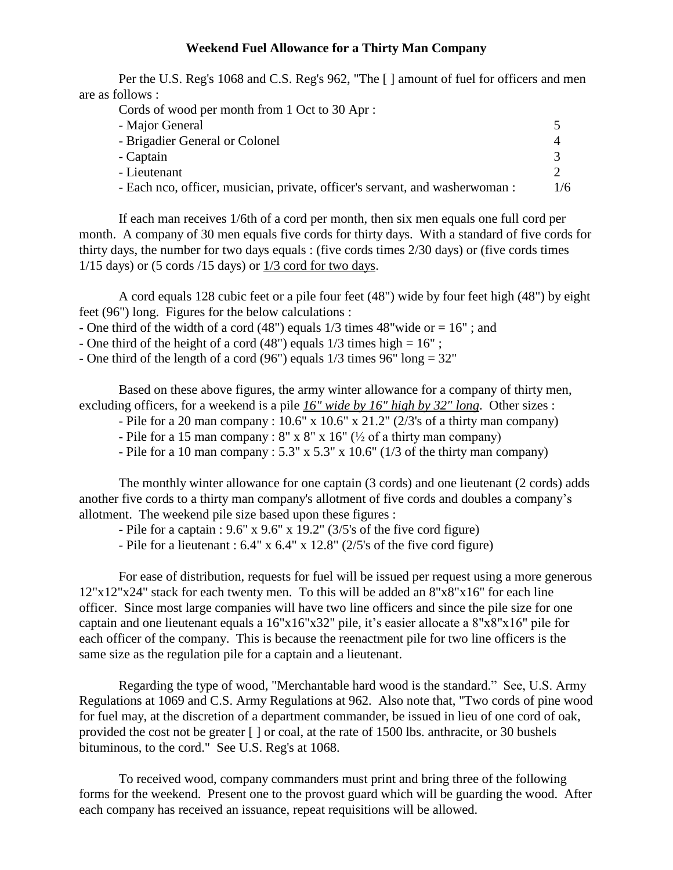## **Weekend Fuel Allowance for a Thirty Man Company**

Per the U.S. Reg's 1068 and C.S. Reg's 962, "The [ ] amount of fuel for officers and men are as follows :

| Cords of wood per month from 1 Oct to 30 Apr :                               |              |  |
|------------------------------------------------------------------------------|--------------|--|
| - Major General                                                              | ↖            |  |
| - Brigadier General or Colonel                                               |              |  |
| - Captain                                                                    | $\mathbf{R}$ |  |
| - Lieutenant                                                                 |              |  |
| - Each nco, officer, musician, private, officer's servant, and washerwoman : | 1/6          |  |

If each man receives 1/6th of a cord per month, then six men equals one full cord per month. A company of 30 men equals five cords for thirty days. With a standard of five cords for thirty days, the number for two days equals : (five cords times 2/30 days) or (five cords times  $1/15$  days) or (5 cords  $/15$  days) or  $1/3$  cord for two days.

A cord equals 128 cubic feet or a pile four feet (48") wide by four feet high (48") by eight feet (96") long. Figures for the below calculations :

- One third of the width of a cord  $(48")$  equals  $1/3$  times  $48"$  wide or  $= 16"$ ; and

- One third of the height of a cord  $(48")$  equals  $1/3$  times high =  $16"$ ;
- One third of the length of a cord  $(96)$  equals  $1/3$  times  $96$ " long =  $32$ "

Based on these above figures, the army winter allowance for a company of thirty men, excluding officers, for a weekend is a pile *16" wide by 16" high by 32" long*. Other sizes :

- Pile for a 20 man company : 10.6" x 10.6" x 21.2" (2/3's of a thirty man company) ng officers, for a weekend is a pile <u>16" wide by 16" high by 32" long</u>. Other siz<br>- Pile for a 20 man company : 10.6" x 10.6" x 21.2" (2/3's of a thirty man comp<br>- Pile for a 15 man company : 8" x 8" x 16" (½ of a thirty
- 
- Pile for a 10 man company :  $5.3''$  x  $5.3''$  x  $10.6''$  ( $1/3$  of the thirty man company)

The monthly winter allowance for one captain (3 cords) and one lieutenant (2 cords) adds another five cords to a thirty man company's allotment of five cords and doubles a company's allotment. The weekend pile size based upon these figures :

- Pile for a captain :  $9.6$ " x  $9.6$ " x  $19.2$ " ( $3/5$ 's of the five cord figure)

- Pile for a lieutenant : 6.4" x 6.4" x 12.8" (2/5's of the five cord figure)

For ease of distribution, requests for fuel will be issued per request using a more generous 12"x12"x24" stack for each twenty men. To this will be added an 8"x8"x16" for each line<br>officer. Since most large companies will have two line officers and since the pile size for one<br>captain and one lieutenant equals a 16 officer. Since most large companies will have two line officers and since the pile size for one each officer of the company. This is because the reenactment pile for two line officers is the same size as the regulation pile for a captain and a lieutenant.

Regarding the type of wood, "Merchantable hard wood is the standard." See, U.S. Army Regulations at 1069 and C.S. Army Regulations at 962. Also note that, "Two cords of pine wood for fuel may, at the discretion of a department commander, be issued in lieu of one cord of oak, provided the cost not be greater [ ] or coal, at the rate of 1500 lbs. anthracite, or 30 bushels bituminous, to the cord." See U.S. Reg's at 1068.

To received wood, company commanders must print and bring three of the following forms for the weekend. Present one to the provost guard which will be guarding the wood. After each company has received an issuance, repeat requisitions will be allowed.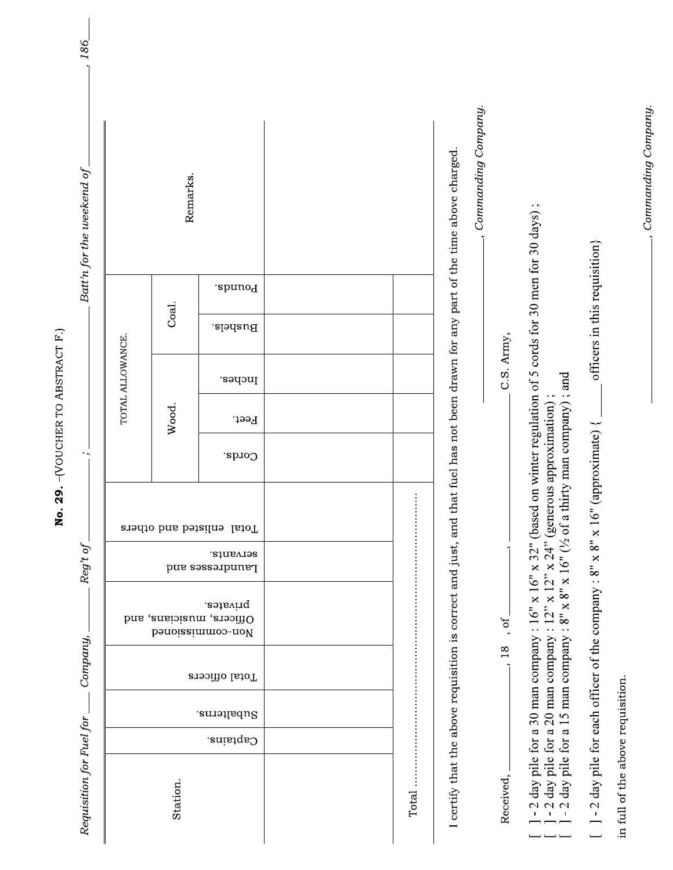| Requisition for Fuel for                                                                                          |             | Company,       |                                                                                                                         | Reg't of                     |                           |                          |       |                  |                               |         | Batt'n for the weekend of                                                                   | 186 |
|-------------------------------------------------------------------------------------------------------------------|-------------|----------------|-------------------------------------------------------------------------------------------------------------------------|------------------------------|---------------------------|--------------------------|-------|------------------|-------------------------------|---------|---------------------------------------------------------------------------------------------|-----|
|                                                                                                                   |             |                |                                                                                                                         |                              |                           |                          |       | TOTAL ALLOWANCE. |                               |         |                                                                                             |     |
| Station.                                                                                                          |             |                |                                                                                                                         |                              |                           |                          | Wood. |                  | Coal.                         |         | Remarks.                                                                                    |     |
| Captains.                                                                                                         | Subalterns. | Total officers | privates.<br>Officers, musicians, and<br>bonoiaeimmoo-nol                                                               | strvants.<br>Laundresses and | Total enlisted and others | Cords.                   | Feet. | Inches.          | Bushels.                      | .epunoq |                                                                                             |     |
|                                                                                                                   |             |                |                                                                                                                         |                              |                           |                          |       |                  |                               |         |                                                                                             |     |
|                                                                                                                   |             |                |                                                                                                                         |                              |                           |                          |       |                  |                               |         |                                                                                             |     |
| Total                                                                                                             |             |                |                                                                                                                         |                              |                           |                          |       |                  |                               |         |                                                                                             |     |
|                                                                                                                   |             |                | I certify that the above requisition is correct and just, and                                                           |                              |                           |                          |       |                  |                               |         | Commanding Company.<br>that fuel has not been drawn for any part of the time above charged. |     |
| Received,                                                                                                         |             | 18             | , of                                                                                                                    |                              |                           |                          |       | C.S. Army,       |                               |         |                                                                                             |     |
| - 2 day pile for a 30 man company :<br>- 2 day pile for a 20 man company :<br>- 2 day pile for a 15 man company : |             |                | day pile for a 15 man company : $8" \times 8" \times 16"$ ( $\frac{1}{2}$ of a<br>$\overline{\mathbf{x}}$<br>16"<br>12" | x 24"<br>$\overline{2}$      | (generous approximation)  | thirty man company); and |       |                  |                               |         | $6''$ x 32" (based on winter regulation of 5 cords for 30 men for 30 days);                 |     |
|                                                                                                                   |             |                | $\lceil -2 \rceil$ - 2 day pile for each officer of the company : 8" x 8" x 16"                                         |                              |                           | (approximate) $\{$       |       |                  | officers in this requisition} |         |                                                                                             |     |
| in full of the above requisition                                                                                  |             |                |                                                                                                                         |                              |                           |                          |       |                  |                               |         |                                                                                             |     |

No. 29. - (VOUCHER TO ABSTRACT F.)

- Commanding Company.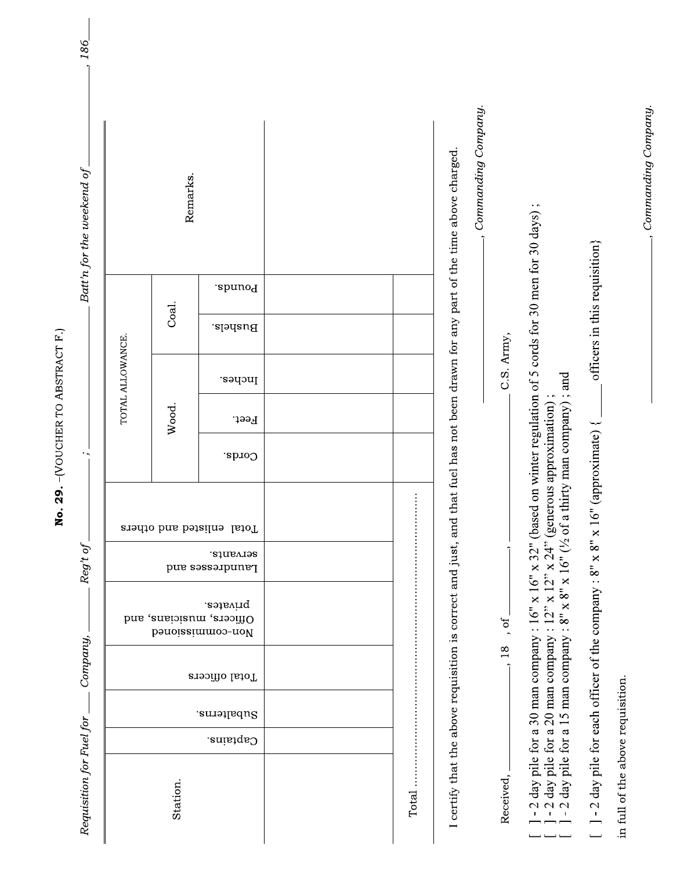| Requisition for Fuel for                                                                                          |             | Company,       |                                                                                                                         | Reg't of                     |                           |                          |       |                  |                               |         | Batt'n for the weekend of                                                                   | 186 |
|-------------------------------------------------------------------------------------------------------------------|-------------|----------------|-------------------------------------------------------------------------------------------------------------------------|------------------------------|---------------------------|--------------------------|-------|------------------|-------------------------------|---------|---------------------------------------------------------------------------------------------|-----|
|                                                                                                                   |             |                |                                                                                                                         |                              |                           |                          |       | TOTAL ALLOWANCE. |                               |         |                                                                                             |     |
| Station.                                                                                                          |             |                |                                                                                                                         |                              |                           |                          | Wood. |                  | Coal.                         |         | Remarks.                                                                                    |     |
| Captains.                                                                                                         | Subalterns. | Total officers | privates.<br>Officers, musicians, and<br>bonoiaeimmoo-nol                                                               | strvants.<br>Laundresses and | Total enlisted and others | Cords.                   | Feet. | Inches.          | Bushels.                      | .epunoq |                                                                                             |     |
|                                                                                                                   |             |                |                                                                                                                         |                              |                           |                          |       |                  |                               |         |                                                                                             |     |
|                                                                                                                   |             |                |                                                                                                                         |                              |                           |                          |       |                  |                               |         |                                                                                             |     |
| Total                                                                                                             |             |                |                                                                                                                         |                              |                           |                          |       |                  |                               |         |                                                                                             |     |
|                                                                                                                   |             |                | I certify that the above requisition is correct and just, and                                                           |                              |                           |                          |       |                  |                               |         | Commanding Company.<br>that fuel has not been drawn for any part of the time above charged. |     |
| Received,                                                                                                         |             | 18             | , of                                                                                                                    |                              |                           |                          |       | C.S. Army,       |                               |         |                                                                                             |     |
| - 2 day pile for a 30 man company :<br>- 2 day pile for a 20 man company :<br>- 2 day pile for a 15 man company : |             |                | day pile for a 15 man company : $8" \times 8" \times 16"$ ( $\frac{1}{2}$ of a<br>$\overline{\mathbf{x}}$<br>16"<br>12" | x 24"<br>$\overline{2}$      | (generous approximation)  | thirty man company); and |       |                  |                               |         | $6''$ x 32" (based on winter regulation of 5 cords for 30 men for 30 days);                 |     |
|                                                                                                                   |             |                | $\lceil -2 \rceil$ - 2 day pile for each officer of the company : 8" x 8" x 16"                                         |                              |                           | (approximate) $\{$       |       |                  | officers in this requisition} |         |                                                                                             |     |
| in full of the above requisition                                                                                  |             |                |                                                                                                                         |                              |                           |                          |       |                  |                               |         |                                                                                             |     |

No. 29. - (VOUCHER TO ABSTRACT F.)

- Commanding Company.